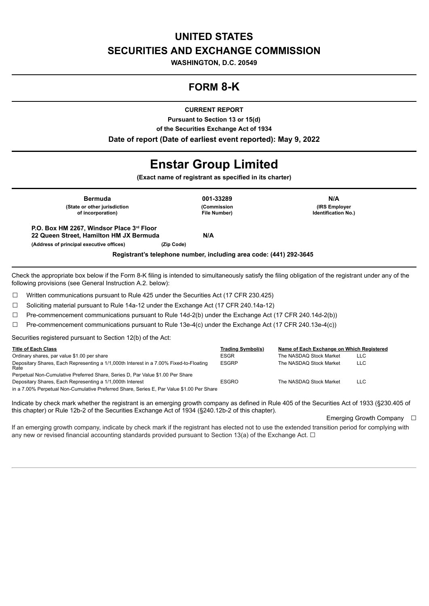# **UNITED STATES SECURITIES AND EXCHANGE COMMISSION**

**WASHINGTON, D.C. 20549**

# **FORM 8-K**

**CURRENT REPORT**

**Pursuant to Section 13 or 15(d) of the Securities Exchange Act of 1934 Date of report (Date of earliest event reported): May 9, 2022**

# **Enstar Group Limited**

**(Exact name of registrant as specified in its charter)**

**Bermuda 001-33289 N/A (State or other jurisdiction of incorporation)**

**(Commission File Number)**

**(IRS Employer Identification No.)**

**P.O. Box HM 2267, Windsor Place 3 Floor rd22 Queen Street, Hamilton HM JX Bermuda N/A (Address of principal executive offices) (Zip Code)**

**Registrant's telephone number, including area code: (441) 292-3645**

Check the appropriate box below if the Form 8-K filing is intended to simultaneously satisfy the filing obligation of the registrant under any of the following provisions (see General Instruction A.2. below):

☐ Written communications pursuant to Rule 425 under the Securities Act (17 CFR 230.425)

☐ Soliciting material pursuant to Rule 14a-12 under the Exchange Act (17 CFR 240.14a-12)

 $\Box$  Pre-commencement communications pursuant to Rule 14d-2(b) under the Exchange Act (17 CFR 240.14d-2(b))

☐ Pre-commencement communications pursuant to Rule 13e-4(c) under the Exchange Act (17 CFR 240.13e-4(c))

Securities registered pursuant to Section 12(b) of the Act:

| <b>Title of Each Class</b>                                                                     | Trading Symbol(s) | Name of Each Exchange on Which Registered |            |
|------------------------------------------------------------------------------------------------|-------------------|-------------------------------------------|------------|
| Ordinary shares, par value \$1.00 per share                                                    | ESGR              | The NASDAQ Stock Market                   | LLC.       |
| Depositary Shares, Each Representing a 1/1,000th Interest in a 7.00% Fixed-to-Floating<br>Rate | <b>ESGRP</b>      | The NASDAQ Stock Market                   | LLC.       |
| Perpetual Non-Cumulative Preferred Share, Series D, Par Value \$1.00 Per Share                 |                   |                                           |            |
| Depositary Shares, Each Representing a 1/1,000th Interest                                      | <b>ESGRO</b>      | The NASDAQ Stock Market                   | <b>LLC</b> |
| in a 7.00% Perpetual Non-Cumulative Preferred Share, Series E, Par Value \$1.00 Per Share      |                   |                                           |            |

Indicate by check mark whether the registrant is an emerging growth company as defined in Rule 405 of the Securities Act of 1933 (§230.405 of this chapter) or Rule 12b-2 of the Securities Exchange Act of 1934 (§240.12b-2 of this chapter).

Emerging Growth Company □

If an emerging growth company, indicate by check mark if the registrant has elected not to use the extended transition period for complying with any new or revised financial accounting standards provided pursuant to Section 13(a) of the Exchange Act.  $\Box$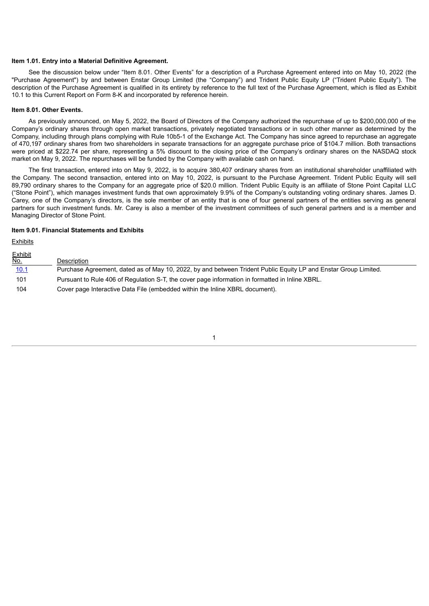#### **Item 1.01. Entry into a Material Definitive Agreement.**

See the discussion below under "Item 8.01. Other Events" for a description of a Purchase Agreement entered into on May 10, 2022 (the "Purchase Agreement") by and between Enstar Group Limited (the "Company") and Trident Public Equity LP ("Trident Public Equity"). The description of the Purchase Agreement is qualified in its entirety by reference to the full text of the Purchase Agreement, which is filed as Exhibit 10.1 to this Current Report on Form 8-K and incorporated by reference herein.

#### **Item 8.01. Other Events.**

As previously announced, on May 5, 2022, the Board of Directors of the Company authorized the repurchase of up to \$200,000,000 of the Company's ordinary shares through open market transactions, privately negotiated transactions or in such other manner as determined by the Company, including through plans complying with Rule 10b5-1 of the Exchange Act. The Company has since agreed to repurchase an aggregate of 470,197 ordinary shares from two shareholders in separate transactions for an aggregate purchase price of \$104.7 million. Both transactions were priced at \$222.74 per share, representing a 5% discount to the closing price of the Company's ordinary shares on the NASDAQ stock market on May 9, 2022. The repurchases will be funded by the Company with available cash on hand.

The first transaction, entered into on May 9, 2022, is to acquire 380,407 ordinary shares from an institutional shareholder unaffiliated with the Company. The second transaction, entered into on May 10, 2022, is pursuant to the Purchase Agreement. Trident Public Equity will sell 89,790 ordinary shares to the Company for an aggregate price of \$20.0 million. Trident Public Equity is an affiliate of Stone Point Capital LLC ("Stone Point"), which manages investment funds that own approximately 9.9% of the Company's outstanding voting ordinary shares. James D. Carey, one of the Company's directors, is the sole member of an entity that is one of four general partners of the entities serving as general partners for such investment funds. Mr. Carey is also a member of the investment committees of such general partners and is a member and Managing Director of Stone Point.

#### **Item 9.01. Financial Statements and Exhibits**

#### **Exhibits**

| <u>Exhibit</u><br><u>No.</u> | Description                                                                                                     |
|------------------------------|-----------------------------------------------------------------------------------------------------------------|
| <u>10.1</u>                  | Purchase Agreement, dated as of May 10, 2022, by and between Trident Public Equity LP and Enstar Group Limited. |
| 101                          | Pursuant to Rule 406 of Regulation S-T, the cover page information in formatted in Inline XBRL.                 |
| 104                          | Cover page Interactive Data File (embedded within the Inline XBRL document).                                    |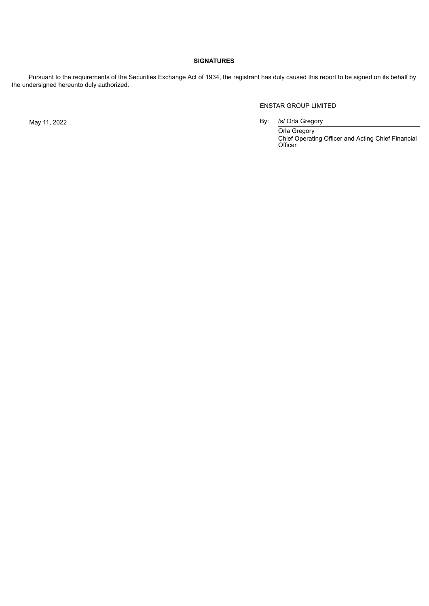# **SIGNATURES**

Pursuant to the requirements of the Securities Exchange Act of 1934, the registrant has duly caused this report to be signed on its behalf by the undersigned hereunto duly authorized.

## ENSTAR GROUP LIMITED

May 11, 2022 **By:** /s/ Orla Gregory

Orla Gregory Chief Operating Officer and Acting Chief Financial Officer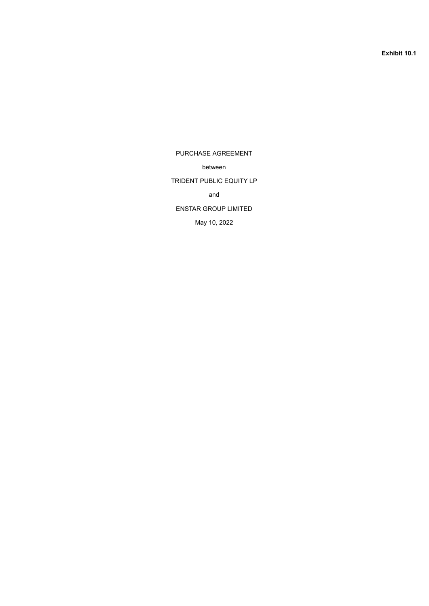**Exhibit 10.1**

<span id="page-3-0"></span>PURCHASE AGREEMENT between TRIDENT PUBLIC EQUITY LP and ENSTAR GROUP LIMITED May 10, 2022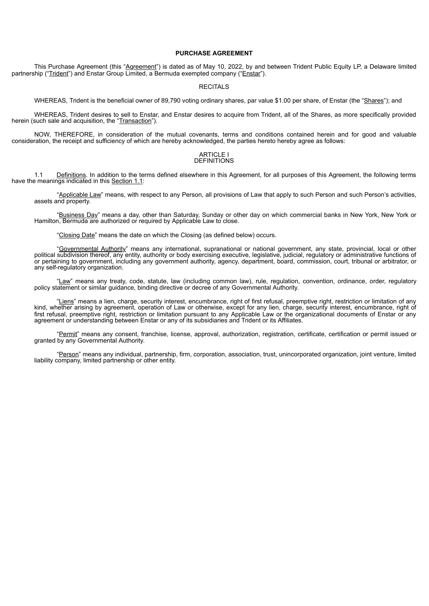### **PURCHASE AGREEMENT**

This Purchase Agreement (this "Agreement") is dated as of May 10, 2022, by and between Trident Public Equity LP, a Delaware limited partnership ("Trident") and Enstar Group Limited, a Bermuda exempted company ("Enstar").

#### RECITALS

WHEREAS, Trident is the beneficial owner of 89,790 voting ordinary shares, par value \$1.00 per share, of Enstar (the "Shares"); and

WHEREAS, Trident desires to sell to Enstar, and Enstar desires to acquire from Trident, all of the Shares, as more specifically provided herein (such sale and acquisition, the "Transaction").

NOW, THEREFORE, in consideration of the mutual covenants, terms and conditions contained herein and for good and valuable consideration, the receipt and sufficiency of which are hereby acknowledged, the parties hereto hereby agree as follows:

#### ARTICLE I DEFINITIONS

1.1 Definitions. In addition to the terms defined elsewhere in this Agreement, for all purposes of this Agreement, the following terms have the meanings indicated in this Section 1.1:

"Applicable Law" means, with respect to any Person, all provisions of Law that apply to such Person and such Person's activities, assets and property.

"Business Day" means a day, other than Saturday, Sunday or other day on which commercial banks in New York, New York or Hamilton, Bermuda are authorized or required by Applicable Law to close.

"Closing Date" means the date on which the Closing (as defined below) occurs.

"Governmental Authority" means any international, supranational or national government, any state, provincial, local or other political subdivision thereof, any entity, authority or body exercising executive, legislative, judicial, regulatory or administrative functions of or pertaining to government, including any government authority, agency, department, board, commission, court, tribunal or arbitrator, or any self-regulatory organization.

"Law" means any treaty, code, statute, law (including common law), rule, regulation, convention, ordinance, order, regulatory policy statement or similar guidance, binding directive or decree of any Governmental Authority.

"Liens" means a lien, charge, security interest, encumbrance, right of first refusal, preemptive right, restriction or limitation of any kind, whether arising by agreement, operation of Law or otherwise, except for any lien, charge, security interest, encumbrance, right of first refusal, preemptive right, restriction or limitation pursuant to any Applicable Law or the organizational documents of Enstar or any agreement or understanding between Enstar or any of its subsidiaries and Trident or its Affiliates.

"Permit" means any consent, franchise, license, approval, authorization, registration, certificate, certification or permit issued or granted by any Governmental Authority.

"Person" means any individual, partnership, firm, corporation, association, trust, unincorporated organization, joint venture, limited liability company, limited partnership or other entity.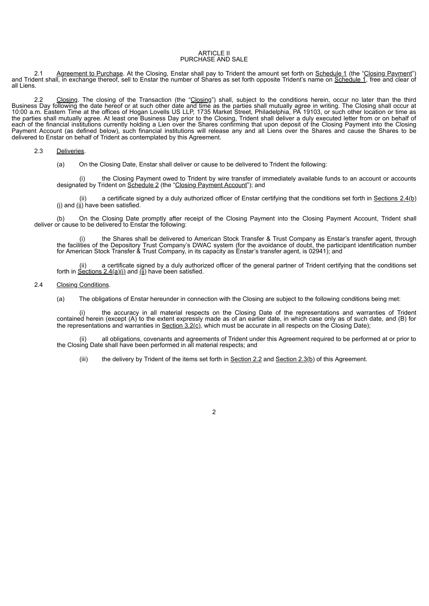#### ARTICLE II PURCHASE AND SALE

2.1 Agreement to Purchase. At the Closing, Enstar shall pay to Trident the amount set forth on Schedule 1 (the "Closing Payment") and Trident shall, in exchange thereof, sell to Enstar the number of Shares as set forth opposite Trident's name on <u>Schedule 1,</u> free and clear of all Liens.

2.2 Closing. The closing of the Transaction (the "Closing") shall, subject to the conditions herein, occur no later than the third Business Day following the date hereof or at such other date and time as the parties shall mutually agree in writing. The Closing shall occur at 10:00 a.m. Eastern Time at the offices of Hogan Lovells US LLP, 1735 Market Street, Philadelphia, PA 19103, or such other location or time as the parties shall mutually agree. At least one Business Day prior to the Closing, Trident shall deliver a duly executed letter from or on behalf of each of the financial institutions currently holding a Lien over the Shares confirming that upon deposit of the Closing Payment into the Closing Payment Account (as defined below), such financial institutions will release any and all Liens over the Shares and cause the Shares to be delivered to Enstar on behalf of Trident as contemplated by this Agreement.

#### 2.3 Deliveries.

(a) On the Closing Date, Enstar shall deliver or cause to be delivered to Trident the following:

(i) the Closing Payment owed to Trident by wire transfer of immediately available funds to an account or accounts designated by Trident on Schedule 2 (the "Closing Payment Account"); and

a certificate signed by a duly authorized officer of Enstar certifying that the conditions set forth in Sections 2.4(b)  $(i)$  and  $(ii)$  have been satisfied.

(b) On the Closing Date promptly after receipt of the Closing Payment into the Closing Payment Account, Trident shall deliver or cause to be delivered to Enstar the following:

(i) the Shares shall be delivered to American Stock Transfer & Trust Company as Enstar's transfer agent, through the facilities of the Depository Trust Company's DWAC system (for the avoidance of doubt, the participant identification number for American Stock Transfer & Trust Company, in its capacity as Enstar's transfer agent, is 02941); and

(ii) a certificate signed by a duly authorized officer of the general partner of Trident certifying that the conditions set forth in Sections  $2.4(a)(i)$  and  $(ii)$  have been satisfied.

#### 2.4 Closing Conditions.

(a) The obligations of Enstar hereunder in connection with the Closing are subject to the following conditions being met:

the accuracy in all material respects on the Closing Date of the representations and warranties of Trident contained herein (except (A) to the extent expressly made as of an earlier date, in which case only as of such date, and (B) for the representations and warranties in  $Section 3.2(c)$ , which must be accurate in all respects on the Closing Date);

all obligations, covenants and agreements of Trident under this Agreement required to be performed at or prior to the Closing Date shall have been performed in all material respects; and

(iii) the delivery by Trident of the items set forth in Section  $2.2$  and Section  $2.3(b)$  of this Agreement.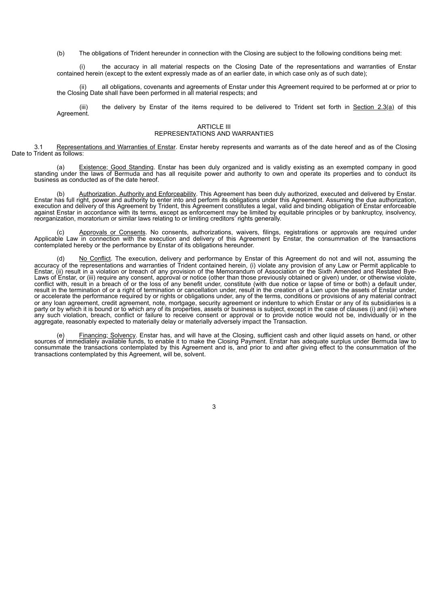(b) The obligations of Trident hereunder in connection with the Closing are subject to the following conditions being met:

the accuracy in all material respects on the Closing Date of the representations and warranties of Enstar contained herein (except to the extent expressly made as of an earlier date, in which case only as of such date);

(ii) all obligations, covenants and agreements of Enstar under this Agreement required to be performed at or prior to the Closing Date shall have been performed in all material respects; and

(iii) the delivery by Enstar of the items required to be delivered to Trident set forth in Section 2.3(a) of this Agreement.

#### ARTICLE III REPRESENTATIONS AND WARRANTIES

3.1 Representations and Warranties of Enstar. Enstar hereby represents and warrants as of the date hereof and as of the Closing Date to Trident as follows:

(a) Existence; Good Standing. Enstar has been duly organized and is validly existing as an exempted company in good standing under the laws of Bermuda and has all requisite power and authority to own and operate its properties and to conduct its business as conducted as of the date hereof.

(b) Authorization, Authority and Enforceability. This Agreement has been duly authorized, executed and delivered by Enstar. Enstar has full right, power and authority to enter into and perform its obligations under this Agreement. Assuming the due authorization, execution and delivery of this Agreement by Trident, this Agreement constitutes a legal, valid and binding obligation of Enstar enforceable against Enstar in accordance with its terms, except as enforcement may be limited by equitable principles or by bankruptcy, insolvency, reorganization, moratorium or similar laws relating to or limiting creditors' rights generally.

(c) Approvals or Consents. No consents, authorizations, waivers, filings, registrations or approvals are required under Applicable Law in connection with the execution and delivery of this Agreement by Enstar, the consummation of the transactions contemplated hereby or the performance by Enstar of its obligations hereunder.

(d) No Conflict. The execution, delivery and performance by Enstar of this Agreement do not and will not, assuming the accuracy of the representations and warranties of Trident contained herein, (i) violate any provision of any Law or Permit applicable to Enstar, (ii) result in a violation or breach of any provision of the Memorandum of Association or the Sixth Amended and Restated Bye-Laws of Enstar, or (iii) require any consent, approval or notice (other than those previously obtained or given) under, or otherwise violate, conflict with, result in a breach of or the loss of any benefit under, constitute (with due notice or lapse of time or both) a default under, result in the termination of or a right of termination or cancellation under, result in the creation of a Lien upon the assets of Enstar under, or accelerate the performance required by or rights or obligations under, any of the terms, conditions or provisions of any material contract or any loan agreement, credit agreement, note, mortgage, security agreement or indenture to which Enstar or any of its subsidiaries is a party or by which it is bound or to which any of its properties, assets or business is subject, except in the case of clauses (i) and (iii) where any such violation, breach, conflict or failure to receive consent or approval or to provide notice would not be, individually or in the aggregate, reasonably expected to materially delay or materially adversely impact the Transaction.

(e) Financing; Solvency. Enstar has, and will have at the Closing, sufficient cash and other liquid assets on hand, or other sources of immediately available funds, to enable it to make the Closing Payment. Enstar has adequate surplus under Bermuda law to consummate the transactions contemplated by this Agreement and is, and prior to and after giving effect to the consummation of the transactions contemplated by this Agreement, will be, solvent.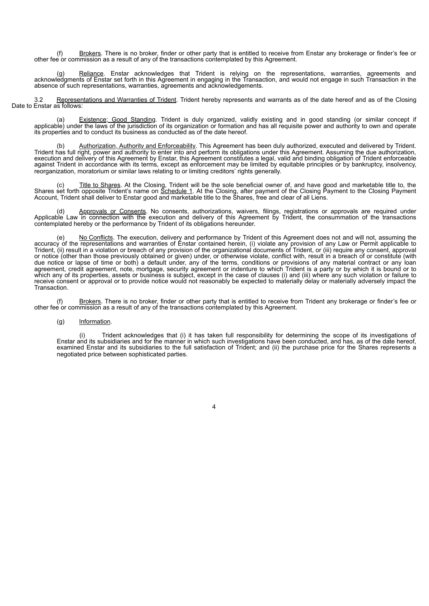(f) Brokers. There is no broker, finder or other party that is entitled to receive from Enstar any brokerage or finder's fee or other fee or commission as a result of any of the transactions contemplated by this Agreement.

(g) Reliance. Enstar acknowledges that Trident is relying on the representations, warranties, agreements and acknowledgments of Enstar set forth in this Agreement in engaging in the Transaction, and would not engage in such Transaction in the absence of such representations, warranties, agreements and acknowledgements.

3.2 Representations and Warranties of Trident. Trident hereby represents and warrants as of the date hereof and as of the Closing Date to Enstar as follows:

(a) Existence; Good Standing. Trident is duly organized, validly existing and in good standing (or similar concept if applicable) under the laws of the jurisdiction of its organization or formation and has all requisite power and authority to own and operate its properties and to conduct its business as conducted as of the date hereof.

(b) Authorization, Authority and Enforceability. This Agreement has been duly authorized, executed and delivered by Trident. Trident has full right, power and authority to enter into and perform its obligations under this Agreement. Assuming the due authorization, execution and delivery of this Agreement by Enstar, this Agreement constitutes a legal, valid and binding obligation of Trident enforceable against Trident in accordance with its terms, except as enforcement may be limited by equitable principles or by bankruptcy, insolvency, reorganization, moratorium or similar laws relating to or limiting creditors' rights generally.

(c) Title to Shares. At the Closing, Trident will be the sole beneficial owner of, and have good and marketable title to, the Shares set forth opposite Trident's name on Schedule 1. At the Closing, after payment of the Closing Payment to the Closing Payment Account, Trident shall deliver to Enstar good and marketable title to the Shares, free and clear of all Liens.

(d) Approvals or Consents. No consents, authorizations, waivers, filings, registrations or approvals are required under Applicable Law in connection with the execution and delivery of this Agreement by Trident, the consummation of the transactions contemplated hereby or the performance by Trident of its obligations hereunder.

No Conflicts. The execution, delivery and performance by Trident of this Agreement does not and will not, assuming the accuracy of the representations and warranties of Enstar contained herein, (i) violate any provision of any Law or Permit applicable to Trident, (ii) result in a violation or breach of any provision of the organizational documents of Trident, or (iii) require any consent, approval or notice (other than those previously obtained or given) under, or otherwise violate, conflict with, result in a breach of or constitute (with due notice or lapse of time or both) a default under, any of the terms, conditions or provisions of any material contract or any loan agreement, credit agreement, note, mortgage, security agreement or indenture to which Trident is a party or by which it is bound or to which any of its properties, assets or business is subject, except in the case of clauses (i) and (iii) where any such violation or failure to receive consent or approval or to provide notice would not reasonably be expected to materially delay or materially adversely impact the Transaction.

(f) Brokers. There is no broker, finder or other party that is entitled to receive from Trident any brokerage or finder's fee or other fee or commission as a result of any of the transactions contemplated by this Agreement.

4

### (g) Information.

(i) Trident acknowledges that (i) it has taken full responsibility for determining the scope of its investigations of Enstar and its subsidiaries and for the manner in which such investigations have been conducted, and has, as of the date hereof, examined Enstar and its subsidiaries to the full satisfaction of Trident; and (ii) the purchase price for the Shares represents a negotiated price between sophisticated parties.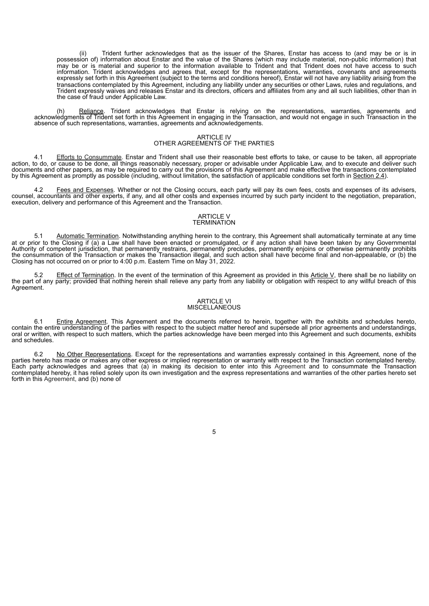(ii) Trident further acknowledges that as the issuer of the Shares, Enstar has access to (and may be or is in possession of) information about Enstar and the value of the Shares (which may include material, non-public information) that may be or is material and superior to the information available to Trident and that Trident does not have access to such information. Trident acknowledges and agrees that, except for the representations, warranties, covenants and agreements expressly set forth in this Agreement (subject to the terms and conditions hereof), Enstar will not have any liability arising from the transactions contemplated by this Agreement, including any liability under any securities or other Laws, rules and regulations, and Trident expressly waives and releases Enstar and its directors, officers and affiliates from any and all such liabilities, other than in the case of fraud under Applicable Law.

(h) Reliance. Trident acknowledges that Enstar is relying on the representations, warranties, agreements and acknowledgments of Trident set forth in this Agreement in engaging in the Transaction, and would not engage in such Transaction in the absence of such representations, warranties, agreements and acknowledgements.

#### ARTICLE IV OTHER AGREEMENTS OF THE PARTIES

4.1 Efforts to Consummate. Enstar and Trident shall use their reasonable best efforts to take, or cause to be taken, all appropriate action, to do, or cause to be done, all things reasonably necessary, proper or advisable under Applicable Law, and to execute and deliver such documents and other papers, as may be required to carry out the provisions of this Agreement and make effective the transactions contemplated by this Agreement as promptly as possible (including, without limitation, the satisfaction of applicable conditions set forth in Section 2.4).

4.2 Fees and Expenses. Whether or not the Closing occurs, each party will pay its own fees, costs and expenses of its advisers, counsel, accountants and other experts, if any, and all other costs and expenses incurred by such party incident to the negotiation, preparation, execution, delivery and performance of this Agreement and the Transaction.

#### ARTICLE V **TERMINATION**

5.1 Automatic Termination. Notwithstanding anything herein to the contrary, this Agreement shall automatically terminate at any time at or prior to the Closing if (a) a Law shall have been enacted or promulgated, or if any action shall have been taken by any Governmental Authority of competent jurisdiction, that permanently restrains, permanently precludes, permanently enjoins or otherwise permanently prohibits the consummation of the Transaction or makes the Transaction illegal, and such action shall have become final and non-appealable, or (b) the Closing has not occurred on or prior to 4:00 p.m. Eastern Time on May 31, 2022.

5.2 Effect of Termination. In the event of the termination of this Agreement as provided in this Article V, there shall be no liability on the part of any party; provided that nothing herein shall relieve any party from any liability or obligation with respect to any willful breach of this Agreement.

#### ARTICLE VI MISCELLANEOUS

6.1 Entire Agreement. This Agreement and the documents referred to herein, together with the exhibits and schedules hereto, contain the entire understanding of the parties with respect to the subject matter hereof and supersede all prior agreements and understandings, oral or written, with respect to such matters, which the parties acknowledge have been merged into this Agreement and such documents, exhibits and schedules.

No Other Representations. Except for the representations and warranties expressly contained in this Agreement. none of the parties hereto has made or makes any other express or implied representation or warranty with respect to the Transaction contemplated hereby. Each party acknowledges and agrees that (a) in making its decision to enter into this Agreement and to consummate the Transaction contemplated hereby, it has relied solely upon its own investigation and the express representations and warranties of the other parties hereto set forth in this Agreement, and (b) none of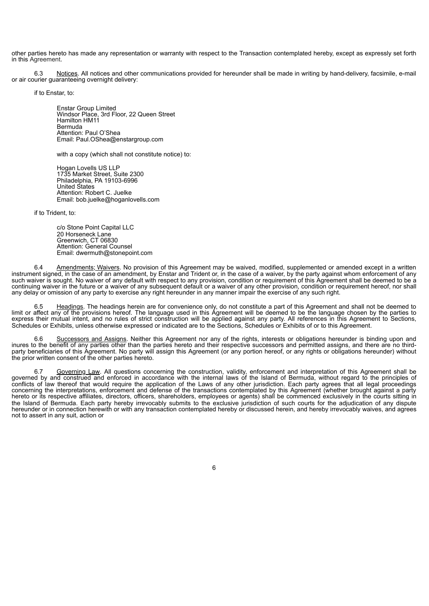other parties hereto has made any representation or warranty with respect to the Transaction contemplated hereby, except as expressly set forth in this Agreement.

6.3 Notices. All notices and other communications provided for hereunder shall be made in writing by hand-delivery, facsimile, e-mail or air courier guaranteeing overnight delivery:

if to Enstar, to:

Enstar Group Limited Windsor Place, 3rd Floor, 22 Queen Street Hamilton HM11 Bermuda Attention: Paul O'Shea Email: Paul.OShea@enstargroup.com

with a copy (which shall not constitute notice) to:

Hogan Lovells US LLP 1735 Market Street, Suite 2300 Philadelphia, PA 19103-6996 United States Attention: Robert C. Juelke Email: bob.juelke@hoganlovells.com

if to Trident, to:

c/o Stone Point Capital LLC 20 Horseneck Lane Greenwich, CT 06830 Attention: General Counsel Email: dwermuth@stonepoint.com

6.4 Amendments; Waivers. No provision of this Agreement may be waived, modified, supplemented or amended except in a written instrument signed, in the case of an amendment, by Enstar and Trident or, in the case of a waiver, by the party against whom enforcement of any such waiver is sought. No waiver of any default with respect to any provision, condition or requirement of this Agreement shall be deemed to be a continuing waiver in the future or a waiver of any subsequent default or a waiver of any other provision, condition or requirement hereof, nor shall any delay or omission of any party to exercise any right hereunder in any manner impair the exercise of any such right.

Headings. The headings herein are for convenience only, do not constitute a part of this Agreement and shall not be deemed to limit or affect any of the provisions hereof. The language used in this Agreement will be deemed to be the language chosen by the parties to express their mutual intent, and no rules of strict construction will be applied against any party. All references in this Agreement to Sections, Schedules or Exhibits, unless otherwise expressed or indicated are to the Sections, Schedules or Exhibits of or to this Agreement.

6.6 Successors and Assigns. Neither this Agreement nor any of the rights, interests or obligations hereunder is binding upon and inures to the benefit of any parties other than the parties hereto and their respective successors and permitted assigns, and there are no thirdparty beneficiaries of this Agreement. No party will assign this Agreement (or any portion hereof, or any rights or obligations hereunder) without the prior written consent of the other parties hereto.

6.7 Governing Law. All questions concerning the construction, validity, enforcement and interpretation of this Agreement shall be governed by and construed and enforced in accordance with the internal laws of the Island of Bermuda, without regard to the principles of conflicts of law thereof that would require the application of the Laws of any other jurisdiction. Each party agrees that all legal proceedings concerning the interpretations, enforcement and defense of the transactions contemplated by this Agreement (whether brought against a party hereto or its respective affiliates, directors, officers, shareholders, employees or agents) shall be commenced exclusively in the courts sitting in the Island of Bermuda. Each party hereby irrevocably submits to the exclusive jurisdiction of such courts for the adjudication of any dispute hereunder or in connection herewith or with any transaction contemplated hereby or discussed herein, and hereby irrevocably waives, and agrees not to assert in any suit, action or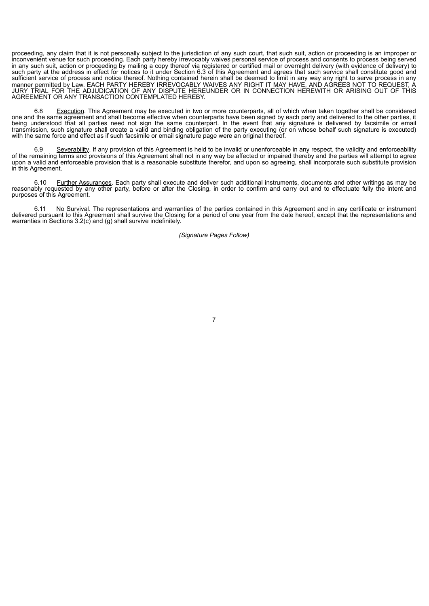proceeding, any claim that it is not personally subject to the jurisdiction of any such court, that such suit, action or proceeding is an improper or inconvenient venue for such proceeding. Each party hereby irrevocably waives personal service of process and consents to process being served in any such suit, action or proceeding by mailing a copy thereof via registered or certified mail or overnight delivery (with evidence of delivery) to such party at the address in effect for notices to it under Section 6.3 of this Agreement and agrees that such service shall constitute good and sufficient service of process and notice thereof. Nothing contained herein shall be deemed to limit in any way any right to serve process in any manner permitted by Law. EACH PARTY HEREBY IRREVOCABLY WAIVES ANY RIGHT IT MAY HAVE, AND AGREES NOT TO REQUEST, A JURY TRIAL FOR THE ADJUDICATION OF ANY DISPUTE HEREUNDER OR IN CONNECTION HEREWITH OR ARISING OUT OF THIS AGREEMENT OR ANY TRANSACTION CONTEMPLATED HEREBY.

6.8 Execution. This Agreement may be executed in two or more counterparts, all of which when taken together shall be considered one and the same agreement and shall become effective when counterparts have been signed by each party and delivered to the other parties, it being understood that all parties need not sign the same counterpart. In the event that any signature is delivered by facsimile or email transmission, such signature shall create a valid and binding obligation of the party executing (or on whose behalf such signature is executed) with the same force and effect as if such facsimile or email signature page were an original thereof.

6.9 Severability. If any provision of this Agreement is held to be invalid or unenforceable in any respect, the validity and enforceability of the remaining terms and provisions of this Agreement shall not in any way be affected or impaired thereby and the parties will attempt to agree upon a valid and enforceable provision that is a reasonable substitute therefor, and upon so agreeing, shall incorporate such substitute provision in this Agreement.

6.10 Further Assurances. Each party shall execute and deliver such additional instruments, documents and other writings as may be reasonably requested by any other party, before or after the Closing, in order to confirm and carry out and to effectuate fully the intent and purposes of this Agreement.

6.11 No Survival. The representations and warranties of the parties contained in this Agreement and in any certificate or instrument delivered pursuant to this Agreement shall survive the Closing for a period of one year from the date hereof, except that the representations and warranties in Sections  $3.2(c)$  and (g) shall survive indefinitely.

*(Signature Pages Follow)*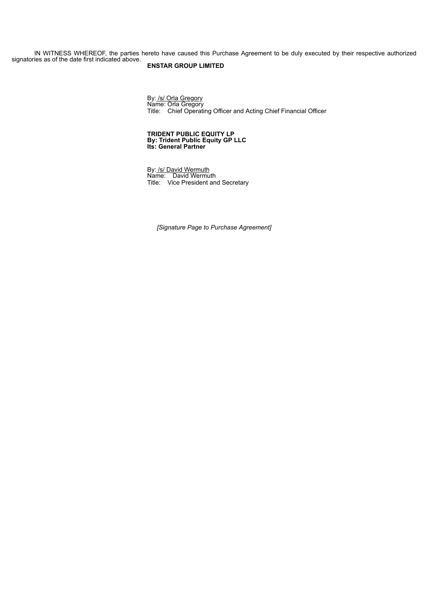IN WITNESS WHEREOF, the parties hereto have caused this Purchase Agreement to be duly executed by their respective authorized signatories as of the date first indicated above.

# **ENSTAR GROUP LIMITED**

By: /s/ Orla Gregory Name: Orla Gregory Title: Chief Operating Officer and Acting Chief Financial Officer

#### **TRIDENT PUBLIC EQUITY LP By: Trident Public Equity GP LLC Its: General Partner**

By: /s/ David Wermuth Name: David Wermuth Title: Vice President and Secretary

*[Signature Page to Purchase Agreement]*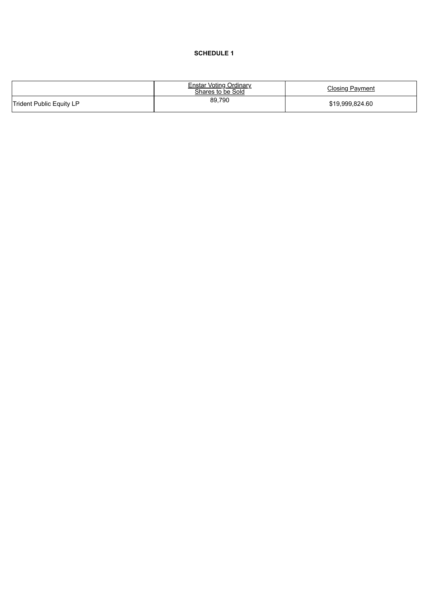## SCHEDULE 1

|                          | Enstar Voting Ordinary<br>Shares to be Sold | <b>Closing Payment</b> |
|--------------------------|---------------------------------------------|------------------------|
| Trident Public Equity LP | 89,790                                      | \$19.999.824.60        |